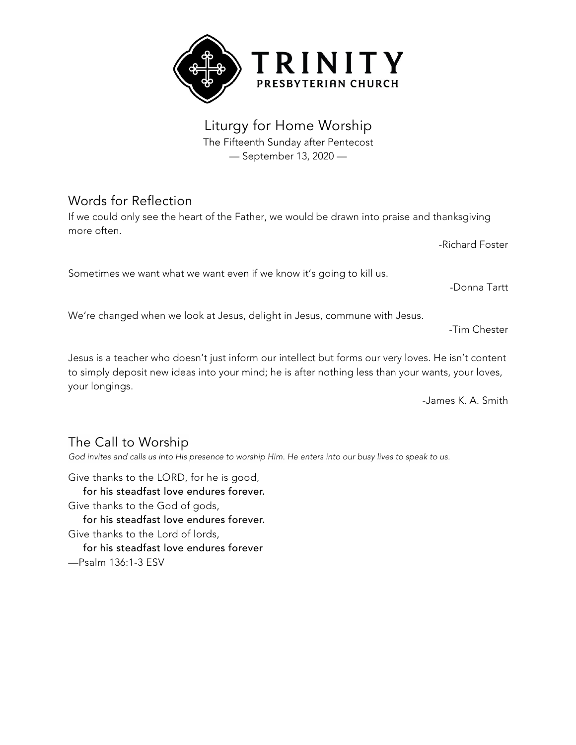

Liturgy for Home Worship The Fifteenth Sunday after Pentecost — September 13, 2020 —

# Words for Reflection

If we could only see the heart of the Father, we would be drawn into praise and thanksgiving more often.

Sometimes we want what we want even if we know it's going to kill us.

We're changed when we look at Jesus, delight in Jesus, commune with Jesus.

-Tim Chester

-Donna Tartt

-Richard Foster

Jesus is a teacher who doesn't just inform our intellect but forms our very loves. He isn't content to simply deposit new ideas into your mind; he is after nothing less than your wants, your loves, your longings.

-James K. A. Smith

# The Call to Worship

God invites and calls us into His presence to worship Him. He enters into our busy lives to speak to us.

Give thanks to the LORD, for he is good, for his steadfast love endures forever. Give thanks to the God of gods,

 for his steadfast love endures forever. Give thanks to the Lord of lords,

 for his steadfast love endures forever —Psalm 136:1-3 ESV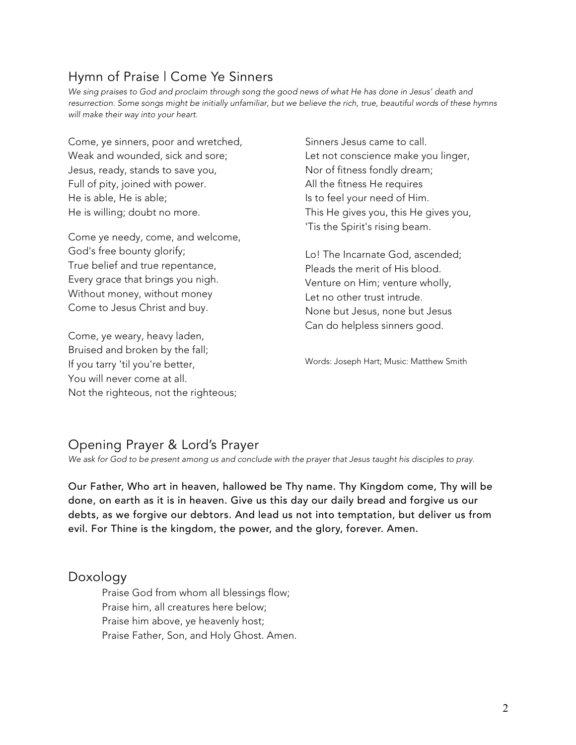# Hymn of Praise | Come Ye Sinners

We sing praises to God and proclaim through song the good news of what He has done in Jesus' death and resurrection. Some songs might be initially unfamiliar, but we believe the rich, true, beautiful words of these hymns *will make their way into your heart.*

Come, ye sinners, poor and wretched, Weak and wounded, sick and sore; Jesus, ready, stands to save you, Full of pity, joined with power. He is able, He is able; He is willing; doubt no more.

Come ye needy, come, and welcome, God's free bounty glorify; True belief and true repentance, Every grace that brings you nigh. Without money, without money Come to Jesus Christ and buy.

Come, ye weary, heavy laden, Bruised and broken by the fall; If you tarry 'til you're better, You will never come at all. Not the righteous, not the righteous; Sinners Jesus came to call. Let not conscience make you linger, Nor of fitness fondly dream; All the fitness He requires Is to feel your need of Him. This He gives you, this He gives you, 'Tis the Spirit's rising beam.

Lo! The Incarnate God, ascended; Pleads the merit of His blood. Venture on Him; venture wholly, Let no other trust intrude. None but Jesus, none but Jesus Can do helpless sinners good.

Words: Joseph Hart; Music: Matthew Smith

# Opening Prayer & Lord's Prayer

*We ask for God to be present among us and conclude with the prayer that Jesus taught his disciples to pray.*

Our Father, Who art in heaven, hallowed be Thy name. Thy Kingdom come, Thy will be done, on earth as it is in heaven. Give us this day our daily bread and forgive us our debts, as we forgive our debtors. And lead us not into temptation, but deliver us from evil. For Thine is the kingdom, the power, and the glory, forever. Amen.

### Doxology

Praise God from whom all blessings flow; Praise him, all creatures here below; Praise him above, ye heavenly host; Praise Father, Son, and Holy Ghost. Amen.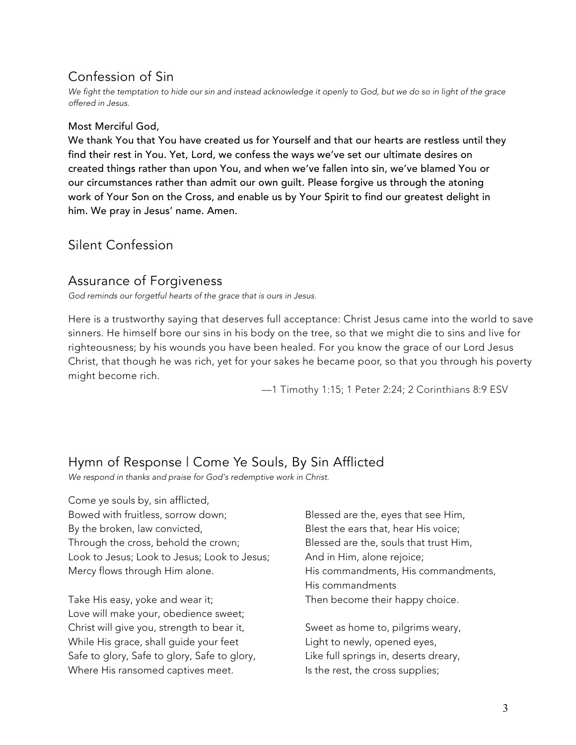# Confession of Sin

We fight the temptation to hide our sin and instead acknowledge it openly to God, but we do so in light of the grace *offered in Jesus.*

#### Most Merciful God,

We thank You that You have created us for Yourself and that our hearts are restless until they find their rest in You. Yet, Lord, we confess the ways we've set our ultimate desires on created things rather than upon You, and when we've fallen into sin, we've blamed You or our circumstances rather than admit our own guilt. Please forgive us through the atoning work of Your Son on the Cross, and enable us by Your Spirit to find our greatest delight in him. We pray in Jesus' name. Amen.

### Silent Confession

#### Assurance of Forgiveness

*God reminds our forgetful hearts of the grace that is ours in Jesus.*

Here is a trustworthy saying that deserves full acceptance: Christ Jesus came into the world to save sinners. He himself bore our sins in his body on the tree, so that we might die to sins and live for righteousness; by his wounds you have been healed. For you know the grace of our Lord Jesus Christ, that though he was rich, yet for your sakes he became poor, so that you through his poverty might become rich.

—1 Timothy 1:15; 1 Peter 2:24; 2 Corinthians 8:9 ESV

# Hymn of Response | Come Ye Souls, By Sin Afflicted

*We respond in thanks and praise for God's redemptive work in Christ.*

Come ye souls by, sin afflicted, Bowed with fruitless, sorrow down; By the broken, law convicted, Through the cross, behold the crown; Look to Jesus; Look to Jesus; Look to Jesus; Mercy flows through Him alone.

Take His easy, yoke and wear it; Love will make your, obedience sweet; Christ will give you, strength to bear it, While His grace, shall guide your feet Safe to glory, Safe to glory, Safe to glory, Where His ransomed captives meet.

Blessed are the, eyes that see Him, Blest the ears that, hear His voice; Blessed are the, souls that trust Him, And in Him, alone rejoice; His commandments, His commandments, His commandments Then become their happy choice.

Sweet as home to, pilgrims weary, Light to newly, opened eyes, Like full springs in, deserts dreary, Is the rest, the cross supplies;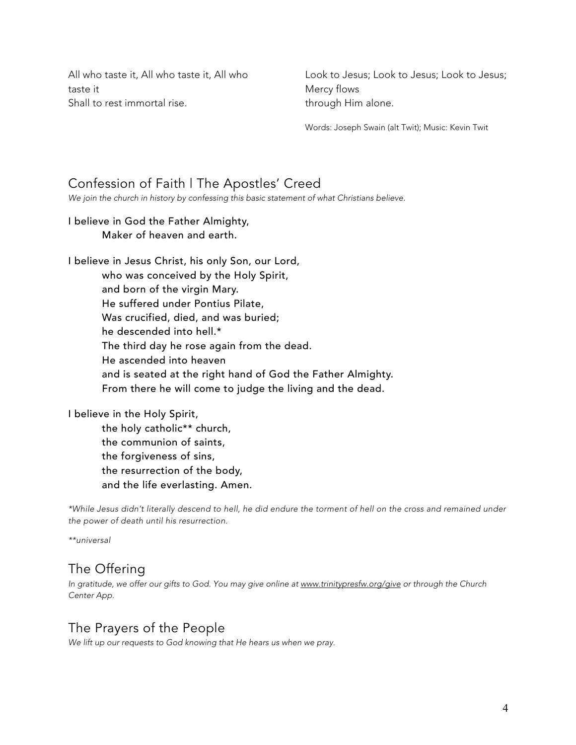All who taste it, All who taste it, All who taste it Shall to rest immortal rise.

Look to Jesus; Look to Jesus; Look to Jesus; Mercy flows through Him alone.

Words: Joseph Swain (alt Twit); Music: Kevin Twit

### Confession of Faith | The Apostles' Creed

*We join the church in history by confessing this basic statement of what Christians believe.*

#### I believe in God the Father Almighty, Maker of heaven and earth.

I believe in Jesus Christ, his only Son, our Lord, who was conceived by the Holy Spirit, and born of the virgin Mary. He suffered under Pontius Pilate, Was crucified, died, and was buried; he descended into hell.\* The third day he rose again from the dead. He ascended into heaven and is seated at the right hand of God the Father Almighty. From there he will come to judge the living and the dead.

#### I believe in the Holy Spirit,

the holy catholic\*\* church, the communion of saints, the forgiveness of sins, the resurrection of the body, and the life everlasting. Amen.

\*While Jesus didn't literally descend to hell, he did endure the torment of hell on the cross and remained under *the power of death until his resurrection.*

*\*\*universal*

## The Offering

*In gratitude, we offer our gifts to God. You may give online at www.trinitypresfw.org/give or through the Church Center App.*

### The Prayers of the People

*We lift up our requests to God knowing that He hears us when we pray.*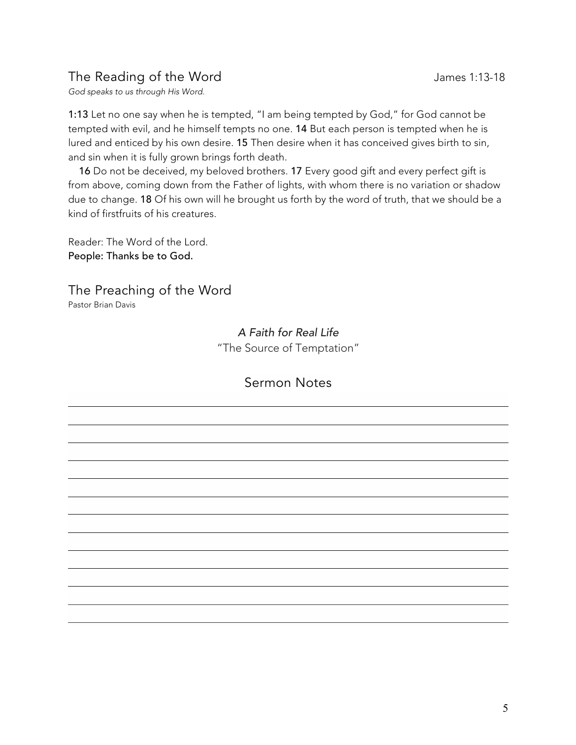# The Reading of the Word The Reading of the Word James 1:13-18

*God speaks to us through His Word.*

1:13 Let no one say when he is tempted, "I am being tempted by God," for God cannot be tempted with evil, and he himself tempts no one. 14 But each person is tempted when he is lured and enticed by his own desire. 15 Then desire when it has conceived gives birth to sin, and sin when it is fully grown brings forth death.

 16 Do not be deceived, my beloved brothers. 17 Every good gift and every perfect gift is from above, coming down from the Father of lights, with whom there is no variation or shadow due to change. 18 Of his own will he brought us forth by the word of truth, that we should be a kind of firstfruits of his creatures.

Reader: The Word of the Lord. People: Thanks be to God.

The Preaching of the Word

Pastor Brian Davis

*A Faith for Real Life* "The Source of Temptation"

### Sermon Notes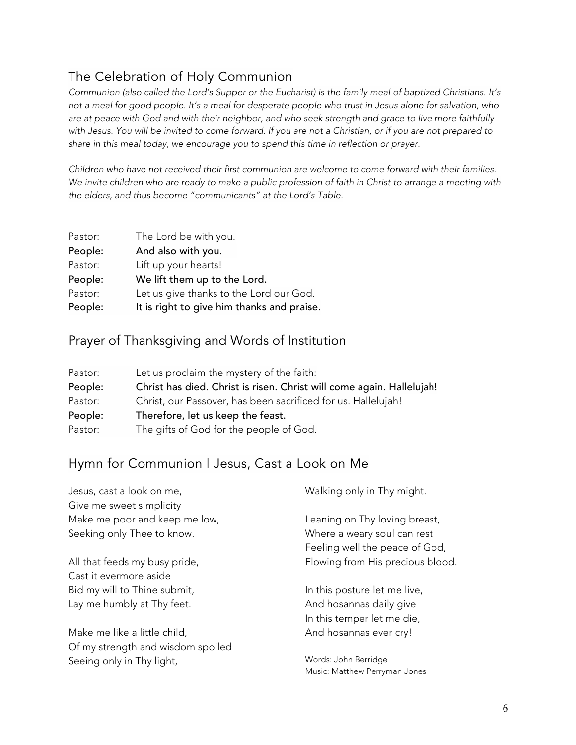# The Celebration of Holy Communion

Communion (also called the Lord's Supper or the Eucharist) is the family meal of baptized Christians. It's not a meal for good people. It's a meal for desperate people who trust in Jesus alone for salvation, who are at peace with God and with their neighbor, and who seek strength and grace to live more faithfully with Jesus. You will be invited to come forward. If you are not a Christian, or if you are not prepared to *share in this meal today, we encourage you to spend this time in reflection or prayer.*

*Children who have not received their first communion are welcome to come forward with their families.* We invite children who are ready to make a public profession of faith in Christ to arrange a meeting with *the elders, and thus become "communicants" at the Lord's Table.*

| Pastor: | The Lord be with you.                      |
|---------|--------------------------------------------|
| People: | And also with you.                         |
| Pastor: | Lift up your hearts!                       |
| People: | We lift them up to the Lord.               |
| Pastor: | Let us give thanks to the Lord our God.    |
| People: | It is right to give him thanks and praise. |

### Prayer of Thanksgiving and Words of Institution

| Pastor: | Let us proclaim the mystery of the faith:                             |  |
|---------|-----------------------------------------------------------------------|--|
| People: | Christ has died. Christ is risen. Christ will come again. Hallelujah! |  |
| Pastor: | Christ, our Passover, has been sacrificed for us. Hallelujah!         |  |
| People: | Therefore, let us keep the feast.                                     |  |
| Pastor: | The gifts of God for the people of God.                               |  |

## Hymn for Communion | Jesus, Cast a Look on Me

| Jesus, cast a look on me,         | Walking only in Thy might.       |
|-----------------------------------|----------------------------------|
| Give me sweet simplicity          |                                  |
| Make me poor and keep me low,     | Leaning on Thy loving breast,    |
| Seeking only Thee to know.        | Where a weary soul can rest      |
|                                   | Feeling well the peace of God,   |
| All that feeds my busy pride,     | Flowing from His precious blood. |
| Cast it evermore aside            |                                  |
| Bid my will to Thine submit,      | In this posture let me live,     |
| Lay me humbly at Thy feet.        | And hosannas daily give          |
|                                   | In this temper let me die,       |
| Make me like a little child,      | And hosannas ever cry!           |
| Of my strength and wisdom spoiled |                                  |
| Seeing only in Thy light,         | Words: John Berridge             |
|                                   | Music: Matthew Perryman Jones    |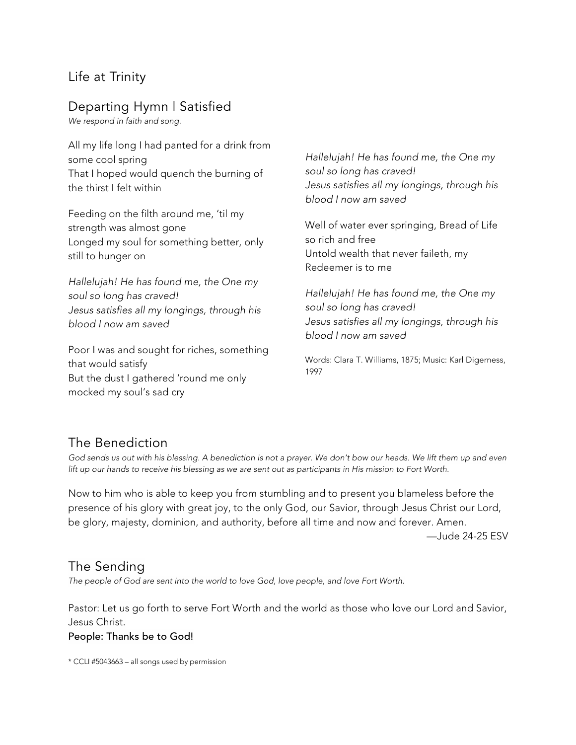## Life at Trinity

# Departing Hymn | Satisfied

*We respond in faith and song.*

All my life long I had panted for a drink from some cool spring That I hoped would quench the burning of the thirst I felt within

Feeding on the filth around me, 'til my strength was almost gone Longed my soul for something better, only still to hunger on

*Hallelujah! He has found me, the One my soul so long has craved! Jesus satisfies all my longings, through his blood I now am saved*

Poor I was and sought for riches, something that would satisfy But the dust I gathered 'round me only mocked my soul's sad cry

*Hallelujah! He has found me, the One my soul so long has craved! Jesus satisfies all my longings, through his blood I now am saved*

Well of water ever springing, Bread of Life so rich and free Untold wealth that never faileth, my Redeemer is to me

*Hallelujah! He has found me, the One my soul so long has craved! Jesus satisfies all my longings, through his blood I now am saved*

Words: Clara T. Williams, 1875; Music: Karl Digerness, 1997

## The Benediction

God sends us out with his blessing. A benediction is not a prayer. We don't bow our heads. We lift them up and even lift up our hands to receive his blessing as we are sent out as participants in His mission to Fort Worth.

Now to him who is able to keep you from stumbling and to present you blameless before the presence of his glory with great joy, to the only God, our Savior, through Jesus Christ our Lord, be glory, majesty, dominion, and authority, before all time and now and forever. Amen.

—Jude 24-25 ESV

## The Sending

*The people of God are sent into the world to love God, love people, and love Fort Worth.*

Pastor: Let us go forth to serve Fort Worth and the world as those who love our Lord and Savior, Jesus Christ. People: Thanks be to God!

\* CCLI #5043663 – all songs used by permission